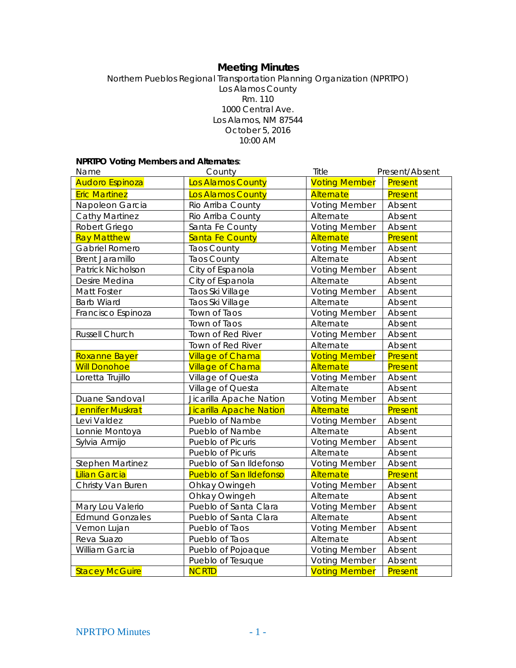# **Meeting Minutes**

Northern Pueblos Regional Transportation Planning Organization (NPRTPO) Los Alamos County Rm. 110 1000 Central Ave. Los Alamos, NM 87544 October 5, 2016 10:00 AM

## **NPRTPO Voting Members and Alternates**:

| Name                    | County                         | Title                | Present/Absent |
|-------------------------|--------------------------------|----------------------|----------------|
| <b>Audoro Espinoza</b>  | Los Alamos County              | <b>Voting Member</b> | Present        |
| <b>Eric Martinez</b>    | <b>Los Alamos County</b>       | Alternate            | Present        |
| Napoleon Garcia         | Rio Arriba County              | <b>Voting Member</b> | Absent         |
| <b>Cathy Martinez</b>   | Rio Arriba County              | Alternate            | Absent         |
| Robert Griego           | Santa Fe County                | <b>Voting Member</b> | Absent         |
| <b>Ray Matthew</b>      | Santa Fe County                | Alternate            | Present        |
| Gabriel Romero          | <b>Taos County</b>             | <b>Voting Member</b> | Absent         |
| <b>Brent Jaramillo</b>  | <b>Taos County</b>             | Alternate            | Absent         |
| Patrick Nicholson       | City of Espanola               | <b>Voting Member</b> | Absent         |
| Desire Medina           | City of Espanola               | Alternate            | Absent         |
| <b>Matt Foster</b>      | Taos Ski Village               | <b>Voting Member</b> | Absent         |
| <b>Barb Wiard</b>       | Taos Ski Village               | Alternate            | Absent         |
| Francisco Espinoza      | Town of Taos                   | <b>Voting Member</b> | Absent         |
|                         | Town of Taos                   | Alternate            | Absent         |
| Russell Church          | Town of Red River              | <b>Voting Member</b> | Absent         |
|                         | Town of Red River              | Alternate            | Absent         |
| Roxanne Bayer           | <b>Village of Chama</b>        | <b>Voting Member</b> | Present        |
| <b>Will Donohoe</b>     | <b>Village of Chama</b>        | Alternate            | Present        |
| Loretta Trujillo        | Village of Questa              | <b>Voting Member</b> | Absent         |
|                         | Village of Questa              | Alternate            | Absent         |
| Duane Sandoval          | Jicarilla Apache Nation        | <b>Voting Member</b> | Absent         |
| Jennifer Muskrat        | Jicarilla Apache Nation        | Alternate            | Present        |
| Levi Valdez             | Pueblo of Nambe                | <b>Voting Member</b> | Absent         |
| Lonnie Montoya          | Pueblo of Nambe                | Alternate            | Absent         |
| Sylvia Armijo           | Pueblo of Picuris              | <b>Voting Member</b> | Absent         |
|                         | Pueblo of Picuris              | Alternate            | Absent         |
| <b>Stephen Martinez</b> | Pueblo of San Ildefonso        | <b>Voting Member</b> | Absent         |
| <b>Lilian Garcia</b>    | <b>Pueblo of San Ildefonso</b> | Alternate            | Present        |
| Christy Van Buren       | Ohkay Owingeh                  | <b>Voting Member</b> | Absent         |
|                         | Ohkay Owingeh                  | Alternate            | Absent         |
| Mary Lou Valerio        | Pueblo of Santa Clara          | <b>Voting Member</b> | Absent         |
| <b>Edmund Gonzales</b>  | Pueblo of Santa Clara          | Alternate            | Absent         |
| Vernon Lujan            | Pueblo of Taos                 | <b>Voting Member</b> | Absent         |
| Reva Suazo              | Pueblo of Taos                 | Alternate            | Absent         |
| William Garcia          | Pueblo of Pojoaque             | <b>Voting Member</b> | Absent         |
|                         | Pueblo of Tesuque              | <b>Voting Member</b> | Absent         |
| <b>Stacey McGuire</b>   | <b>NCRTD</b>                   | <b>Voting Member</b> | Present        |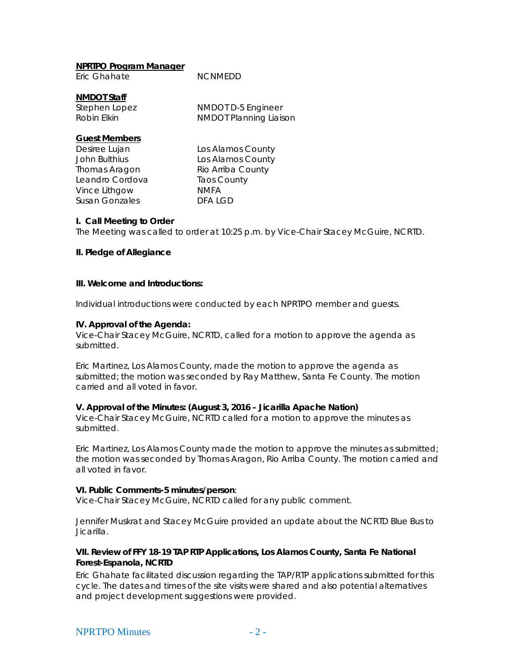| NPRTPO Program Manager |                |
|------------------------|----------------|
| Eric Ghahate           | <b>NCNMEDD</b> |

#### **NMDOT Staff**

Stephen Lopez NMDOT D-5 Engineer

Robin Elkin NMDOT Planning Liaison

# **Guest Members**

Thomas Aragon Rio Arriba County Leandro Cordova Taos County Vince Lithgow NMFA Susan Gonzales **DFA LGD** 

Desiree Lujan Los Alamos County John Bulthius **Los Alamos County** 

## **I. Call Meeting to Order**

The Meeting was called to order at 10:25 p.m. by Vice-Chair Stacey McGuire, NCRTD.

# **II. Pledge of Allegiance**

## **III. Welcome and Introductions:**

Individual introductions were conducted by each NPRTPO member and guests.

## **IV. Approval of the Agenda:**

Vice-Chair Stacey McGuire, NCRTD, called for a motion to approve the agenda as submitted.

Eric Martinez, Los Alamos County, made the motion to approve the agenda as submitted; the motion was seconded by Ray Matthew, Santa Fe County. The motion carried and all voted in favor.

## **V. Approval of the Minutes: (August 3, 2016 – Jicarilla Apache Nation)**

Vice-Chair Stacey McGuire, NCRTD called for a motion to approve the minutes as submitted.

Eric Martinez, Los Alamos County made the motion to approve the minutes as submitted; the motion was seconded by Thomas Aragon, Rio Arriba County. The motion carried and all voted in favor.

## **VI. Public Comments-5 minutes/person**:

Vice-Chair Stacey McGuire, NCRTD called for any public comment.

Jennifer Muskrat and Stacey McGuire provided an update about the NCRTD Blue Bus to Jicarilla.

## **VII. Review of FFY 18-19 TAP RTP Applications, Los Alamos County, Santa Fe National Forest-Espanola, NCRTD**

Eric Ghahate facilitated discussion regarding the TAP/RTP applications submitted for this cycle. The dates and times of the site visits were shared and also potential alternatives and project development suggestions were provided.